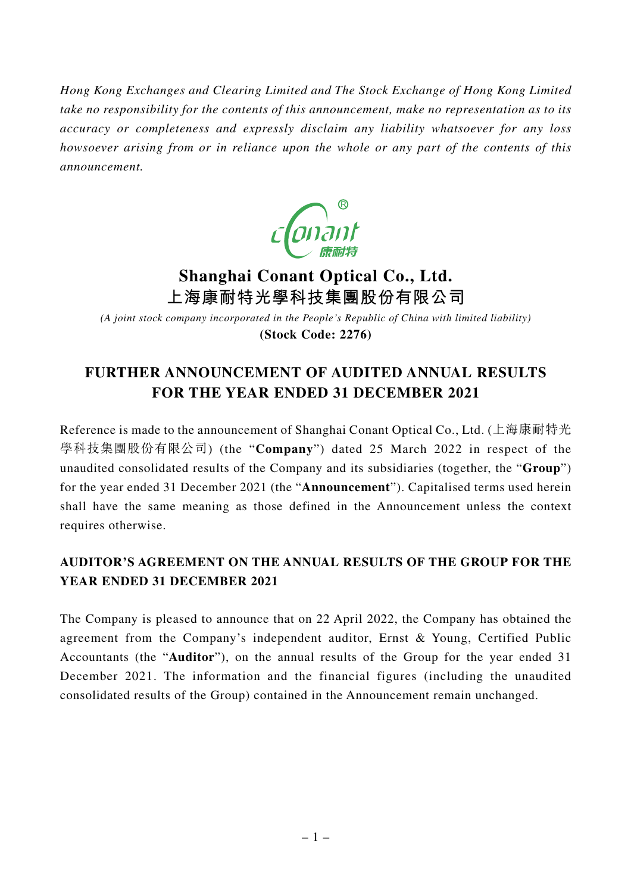*Hong Kong Exchanges and Clearing Limited and The Stock Exchange of Hong Kong Limited take no responsibility for the contents of this announcement, make no representation as to its accuracy or completeness and expressly disclaim any liability whatsoever for any loss howsoever arising from or in reliance upon the whole or any part of the contents of this announcement.*



# **Shanghai Conant Optical Co., Ltd. 上海康耐特光學科技集團股份有限公司**

*(A joint stock company incorporated in the People's Republic of China with limited liability)* **(Stock Code: 2276)**

## **FURTHER ANNOUNCEMENT OF AUDITED ANNUAL RESULTS FOR THE YEAR ENDED 31 DECEMBER 2021**

Reference is made to the announcement of Shanghai Conant Optical Co., Ltd. (上海康耐特光 學科技集團股份有限公司) (the "**Company**") dated 25 March 2022 in respect of the unaudited consolidated results of the Company and its subsidiaries (together, the "**Group**") for the year ended 31 December 2021 (the "**Announcement**"). Capitalised terms used herein shall have the same meaning as those defined in the Announcement unless the context requires otherwise.

### **AUDITOR'S AGREEMENT ON THE ANNUAL RESULTS OF THE GROUP FOR THE YEAR ENDED 31 DECEMBER 2021**

The Company is pleased to announce that on 22 April 2022, the Company has obtained the agreement from the Company's independent auditor, Ernst & Young, Certified Public Accountants (the "**Auditor**"), on the annual results of the Group for the year ended 31 December 2021. The information and the financial figures (including the unaudited consolidated results of the Group) contained in the Announcement remain unchanged.